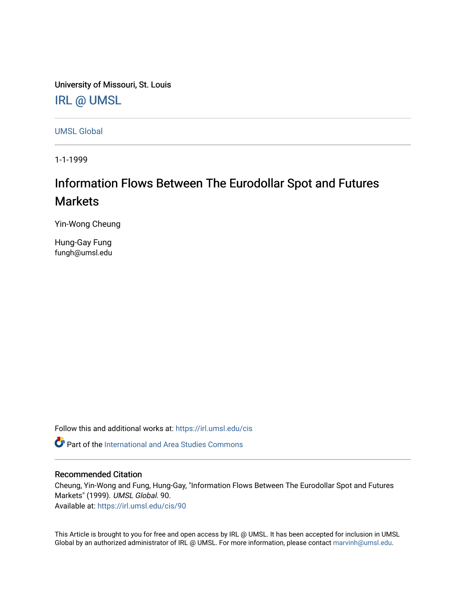University of Missouri, St. Louis [IRL @ UMSL](https://irl.umsl.edu/) 

[UMSL Global](https://irl.umsl.edu/cis)

1-1-1999

# Information Flows Between The Eurodollar Spot and Futures **Markets**

Yin-Wong Cheung

Hung-Gay Fung fungh@umsl.edu

Follow this and additional works at: [https://irl.umsl.edu/cis](https://irl.umsl.edu/cis?utm_source=irl.umsl.edu%2Fcis%2F90&utm_medium=PDF&utm_campaign=PDFCoverPages) 

 $\bullet$  Part of the International and Area Studies Commons

### Recommended Citation

Cheung, Yin-Wong and Fung, Hung-Gay, "Information Flows Between The Eurodollar Spot and Futures Markets" (1999). UMSL Global. 90. Available at: [https://irl.umsl.edu/cis/90](https://irl.umsl.edu/cis/90?utm_source=irl.umsl.edu%2Fcis%2F90&utm_medium=PDF&utm_campaign=PDFCoverPages) 

This Article is brought to you for free and open access by IRL @ UMSL. It has been accepted for inclusion in UMSL Global by an authorized administrator of IRL @ UMSL. For more information, please contact [marvinh@umsl.edu](mailto:marvinh@umsl.edu).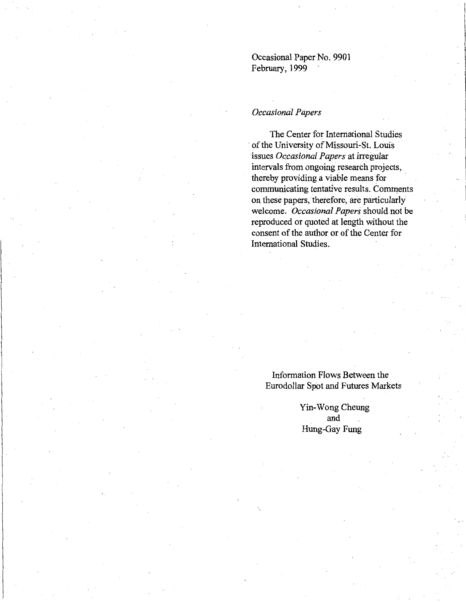Occasional Paper No. 9901 February, 1999

#### *Occasional Papers*

The Center for International Studies of the University of Missouri-St. Louis ·issues *Occasional Papers* at irregular intervals from ongoing research projects, thereby providing a viable means for communicating tentative results. Comments on these papers, therefore, are particularly welcome. *Dccasional Papers* should not be reproduced or quoted at length without the consent of the author or of the Center for International Studies ..

Information Flows Between the Eurodollar Spot and Futures Markets

> Yin-Wong Cheung and Hung-Gay Fung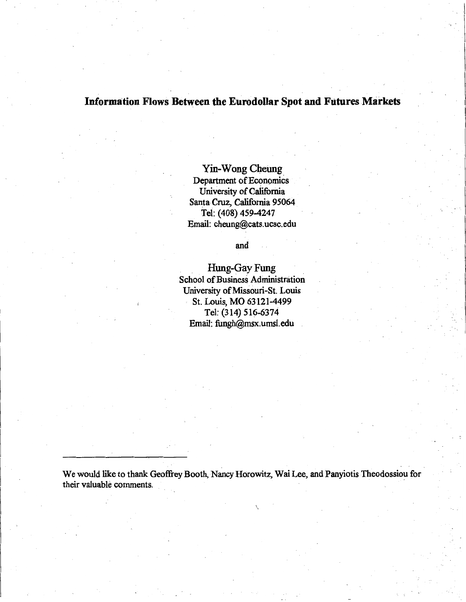# **Information Flows Between the Eurodollar Spot and Futures Markets**

Yin-Wong Cheung\_ Department of Economics University of California Santa-Cruz, California 95064 Tel: (408) 459-4247 Email: cheung@cats.ucsc.edu

and

Hung-Gay Fung School of Business Administration University of Missouri-St. Louis St. Louis, MO 63121-4499 Tel: (314) 516-6374 Email: fungh@msx.umsl.edu

We would like to thank Geoffrey Booth, Nancy Horowitz, Wai Lee, and Panyiotis Theodossiou for their valuable comments.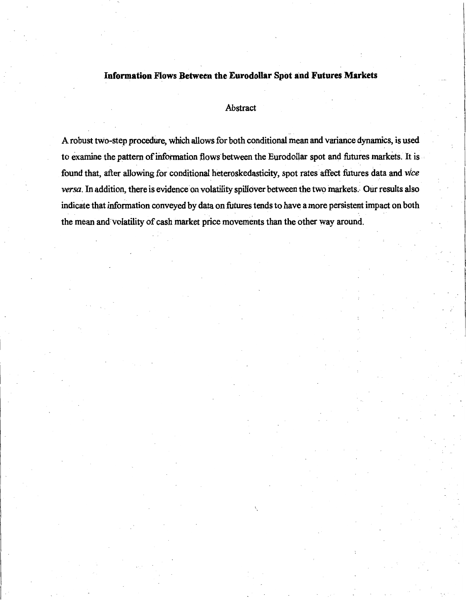# **Information Flows Between the Eurodollar Spot and Futures Markets**

#### Abstract

A robust two,-step procedure, which allows for both conditional mean and variance dynamics, is used to examine the pattern of information flows between the Eurodollar spot and futures markets. It is ' ' ' found that, after allowing for conditional heteroskedasticity, spot rates affect futures data and *vice versa*. In addition, there is evidence on volatility spillover between the two markets. Our results also indicate that information conveyed by data on futures tends to have a more persistent impact on both the mean and'volatility of cash market price movements than the other way around.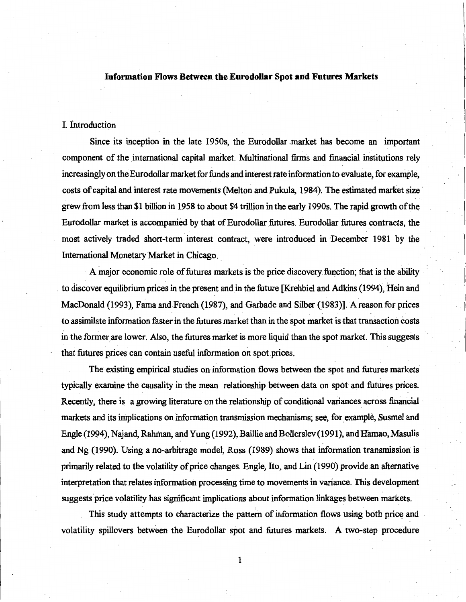#### **Information Flows Between the Eurodollar Spot and Futures Markets**

#### I. Introduction

Since its inception in the late 1950s, the Eurodollar market has become an important component of the international capital market. Multinational firms and financial institutions rely increasingly on the Eurodollar market for funds and interest rate information to evaluate, for example, costs of capital and interest rate movements (Melton and Pukula, 1984). The estimated market size· grew from less than \$1 billion in 1958 to about \$4 trillion in the early 1990s. The rapid growth of the Eurodollar market is accompanied by that of Eurodollar futures. Eurodollar futures contracts, the most actively traded short-term interest contract, were introduced in December 1981 by the International Monetary Market in Chicago ..

A major economic role of futures markets is the price discovery function; that is the ability . to discover equilibrium prices in the present and in the future [Krehbiel and Adkins (1994), Hein and MacDonald (1993), Fama and French (1987), and Garbade and Silber (1983)]. A reason for prices to assimilate information faster in the futures market than in the spot market is that transaction costs in the former are lower. Also, the futures market is more liquid than the spot market. This suggests that futures prices can contain useful information on spot prices.

The existing empirical studies on information flows between the spot and futures markets typically examine the causality in the mean relationship between data on spot and futures prices. Recently, there is a growing literature on the relationship of conditional variances across financial markets and its implications on information transmission mechanisms; see, for example, Susmel and Engle (1994), Najand, Rahman, and Yung (1992), Baillie and Bollerslev (1991), and Hamao, Masulis and Ng (1990). Using a no-arbitrage model, Ross (1989) shows that information transmission is primarily related to the volatility of price changes. Engle, Ito, and Lin (1990) provide an alternative interpretation that relates information processing time to movements in variance. This development suggests price volatility has significant implications about information linkages between markets.

This study attempts to characterize the pattern of information flows using both price and volatility spillovers between the Eurodollar spot and futures markets. A two-step procedure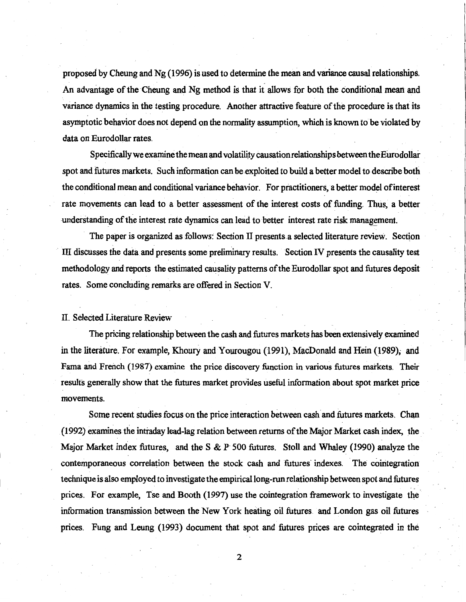proposed by Cheung and Ng (1996) is used to detennine the mean and variance causal relationships. An advantage of the Cheung and Ng method is that it allows for both the conditional mean and variance dynamics in the testing procedure. Another attractive feature of the procedure is that its asymptotic behavior does not depend on the normality assumption, which is known to be violated by data on Eurodollar rates.

Specifically we examine the mean and volatilicy causation relationships between the Eurodollar spot and futures markets. Such information can be exploited to build a better model to describe both the conditional mean and conditional variance behavior. For practitioners, a better model of interest rate movements can lead to a better assessment of the interest costs of funding. Thus, a better understanding of the interest rate dynamics can lead to better interest rate risk management.

The paper is organized as follows: Section II presents a selected literature review. Section III discusses the data and presents some preliminary results. Section IV presents the causality test methodology and reports the estimated causality patterns of the Eurodollar spot and futures deposit rates. Some concluding remarks are offered in Section V.

#### II. Selected Literature Review

The pricing relationship between the cash and futures markets has been extensively examined in the literature. For example, Khoury and Yourougou (1991), MacDonald and Hein (1989), and Fama and French (1987) examine the price discovery function in various futures markets. Their results generally show that the futures market provides useful information about spot market price movements.

Some recent studies focus on the price interaction between cash and futures markets. Chan (1992) examines the intraday lead-lag relation between returns of the Major Market cash index, the . Major Market index futures, and the S & P· 500 futures. Stoll and Whaley (1990) analyze the contemporaneous correlation between the stock cash and futures indexes. The cointegration technique is also employed to investigate the empirical long-run relationship between spot and futures prices. For example, Tse and Booth (1997) use the cointegration framework to investigate the information transmission between the New York heating oil futures and London gas oil futures paces. Fung and Leung (1993) document that spot and futures prices are cointegrated in the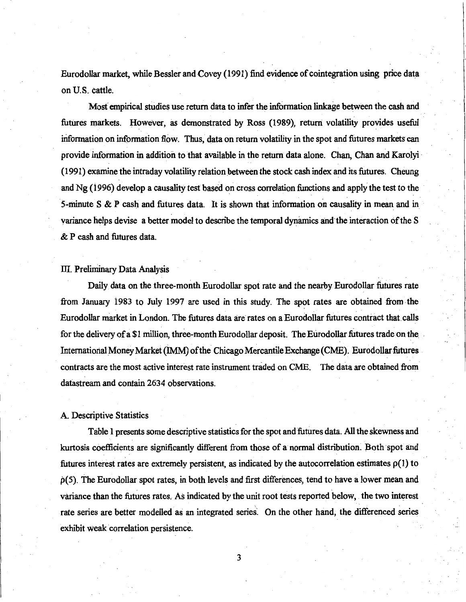Eurodollar market, while Bessler and Covey (1991) find evidence of cointegration using price data on U.S. cattle.

Mosf empirical studies use return data to infer the information linkage between the cash and futures markets. However, as demonstrated by Ross (1989), return volatility provides useful information on information flow. Thus, data on return volatility in the spot and futures markets can provide information in addition to that available in the return data alone. Chan, Chan and Karolyi - ( 1991) examine the intraday volatility relation between the stock cash index and its futures. Cheung and Ng (1996) develop a causality test based on cross correlation functions and apply the test to the 5-minute S  $\&$  P cash and futures data. It is shown that information on causality in mean and in variance helps devise a better model to describe the temporal dynamics and the interaction of the S & P cash and futures data.

#### III. Preliminary Data Analysis

Daily data on the three-month Eurodollar spot rate and the nearby Eurodollar futures rate from January 1983 to July 1997 are used in this study. The spot rates are obtained from-the Eurodollar market in London. The futures-data are rates on a Eurodollar futures contract that.calls for the delivery of a \$1 million, three-month Eurodollar deposit. The Eurodollar futures trade on the International Money Market (IMM) of the Chicago Mercantile Exchange (CME). Eurodollar futures contracts are the most active interest rate instrument traded on CME. The data are obtained from datastream and contain 2634 observations.

#### A. Descriptive Statistics

Table 1 presents some descriptive statistics for the spot and futures data. All the skewness and kurtosis coefficients are significantly different from those of a normal distribution. Both spot and futures interest rates are extremely persistent, as indicated by the autocorrelation estimates  $\rho(1)$  to p(S). The Eurodollar spot rates, in both levels and first differences, tend to have a lower mean and variance than the futures rates. As indicated by the unit root tests reported below, the two interest rate series are better modelled as an integrated series. On the other hand, the differenced series exhibit weak correlation persistence.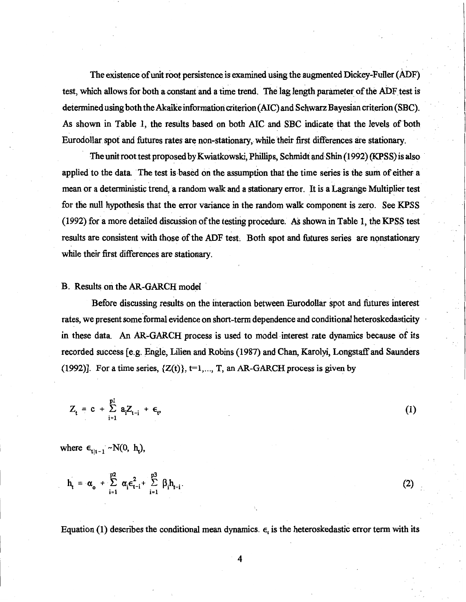The existence of unit root persistence is examined using the augmented Dickey-Fuller (ADF) test, which allows for both a constant and a time trend. The lag length parameter of the ADF test is determined using both the Akaike information criterion (AIC) and Schwarz Bayesian criterion (SBC). As shown in Table 1, the results based on both AIC and SBC indicate that the levels of both Eurodollar spot and futures rates are non-stationary, while their first differences are stationary.

The unit root test proposed by Kwiatkowski, Phillips, Schmidt and Shin (1992) (KPSS) is also applied to the data. 'The test is based on the assumption that the time series is the sum of either a mean or a deterministic trend, a random walk and a stationary error. U is a Lagrange Multiplier test for the null hypothesis that the error variance in the random walk component is zero. See KPSS (1992) for a more detailed discussion of the testing procedure. As shown in Table 1, the KPSS test results are consistent with those of the ADF test. Both spot and futures series are nonstationary while their first differences are stationary.

#### B. Results on the AR-GARCH model

Before discussing results on the interaction between Eurodollar spot and futures interest rates, we present some formal evidence on short-term dependence and conditional heteroskedasticity in these data. An AR-GARCH process is used to model interest rate dynamics because of its recorded success [e.g. Engle, Lilien and Robins (1987) and Chan, Karolyi, Longstaff and Saunders (1992)]. For a time series,  $\{Z(t)\}\$ ,  $t=1,..., T$ , an AR-GARCH process is given by

(1)

(2)

$$
Z_{t} = c + \sum_{i=1}^{p1} a_{i} Z_{t-i} + \epsilon_{v}
$$

where  $\epsilon_{t|t-1}$  ~ N(0, h<sub>t</sub>),

$$
h_t = \alpha_o + \sum_{i=1}^{p2} \alpha_i \varepsilon_{t-i}^2 + \sum_{i=1}^{p3} \beta_i h_{t-i}.
$$

Equation (1) describes the conditional mean dynamics.  $\epsilon_t$  is the heteroskedastic error term with its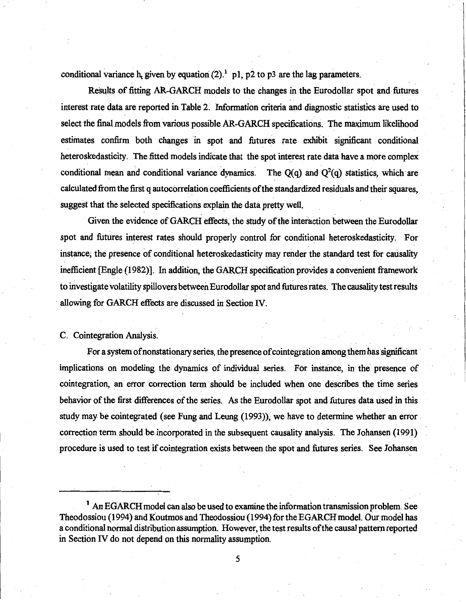conditional variance h, given by equation  $(2)^{1}$  p1, p2 to p3 are the lag parameters.

Results of fitting AR-GARCH models to the changes in the Eurodollar spot and futures interest rate data are reported in Table 2: Information criteria and diagnostic statistics are used to select the final models from various possible AR-GARCH specifications. The maximum likelihood estimates confirm both changes in spot and futures rate exhibit significant conditional heteroskedasticity. The fitted models indicate that the spot interest rate data have a more complex conditional mean and conditional variance dynamics. The  $Q(q)$  and  $Q^2(q)$  statistics, which are calculated from the first q autocorrelation coefficients of the standardized residuals and their squares, suggest that the selected specifications explain the data pretty well.

Given the evidence of GARCH effects, the study of the interaction between the Eurodollar spot and futures interest rates should properly control for conditional heteroskedasticity. For instance; the presence of conditional heteroskedasticity may render the standard test for causality inefficient [Engle (1982)]. In addition, the GARCH specification provides a convenient framework to investigate volatility spillovers between Eurodollar spot and futures rates. The causality test results allowing for GARCH effects are discussed in Section IV.

C. Cointegration Analysis.

For a system of nonstationary series, the presence of cointegration among them has significant implications on modeling the dynamics of individual series. For instance, in the presence of cointegration, an error correction term should be included when one describes the time series behavior of the first differences of the series. As the Eurodollar spot and futures data used in this study may be cointegrated (see Fung and Leung (1993)), we have to determine whether an error correction term should be incorporated in the subsequent causality analysis. The Johansen (1991) procedure is used to test if cointegration exists between the spot and futures series. See Johansen

<sup>1</sup> An EGARCH model can also be used to examine the information transmission problem. See Theodossiou (1994) and Koutmos and Theodossiou (1994) for the EGARCH model. Our model has a conditional normal distribution assumption. However, the test results of the causal pattern reported in Section IV do not depend on this normality assumption.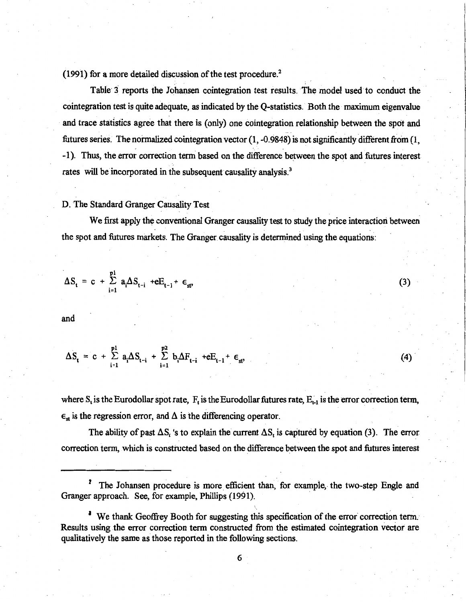(1991) for a more detailed discussion of the test procedure.<sup>2</sup>

Table 3 reports the Johansen cointegration test results. The model used to conduct the cointegration test is quite adequate, as indicated by the Q-statistics. Both the maximum eigenvalue and trace statistics agree that there is (only) one cointegration relationship between the spot and futures series. The normalized cointegration vector  $(1, -0.9848)$  is not significantly different from  $(1, -0.9848)$ -1). Thus, the error correction term based on the difference between the spot and futures interest rates will be incorporated in the subsequent causality analysis.<sup>3</sup>

#### D. The Standard Granger Causality Test

We first apply the conventional Granger causality test to study the price interaction between the spot and futures markets. The Granger causality is determined using the equations:

(3)

(4)

$$
\Delta S_t = c + \sum_{i=1}^{p_1} a_i \Delta S_{t-i} + eE_{t-1} + \epsilon_{st}
$$

and

$$
\Delta S_{t} = c + \sum_{i=1}^{p1} a_{i} \Delta S_{t-i} + \sum_{i=1}^{p2} b_{i} \Delta F_{t-i} + eE_{t-1} + \epsilon_{st},
$$

where  $S_t$  is the Eurodollar spot rate,  $F_t$  is the Eurodollar futures rate,  $E_{t-1}$  is the error correction term,  $\epsilon_{st}$  is the regression error, and  $\Delta$  is the differencing operator.

The ability of past  $\Delta S_t$  's to explain the current  $\Delta S_t$  is captured by equation (3). The error correction term, which is constructed based on the difference between the spot and futures interest

<sup>2</sup> The Johansen procedure is more efficient than, for example, the two-step Engle and Granger approach. See, for example, Phillips (1991).

<sup>3</sup> We thank Geoffrey Booth for suggesting this specification of the error correction term. Results using the error correction term constructed from the estimated cointegration vector are qualitatively the same as those reported in the following sections.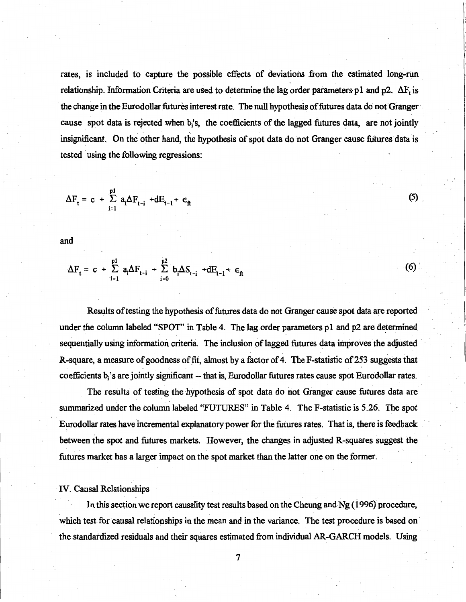rates, is included to capture the possible effects of deviations from the estimated long-run relationship. Information Criteria are used to determine the lag order parameters p1 and p2.  $\Delta F_t$  is the change in the Eurodollar futures interest rate. The null hypothesis of futures data do not Granger· cause spot data is rejected when b/s, the coefficients of the lagged futures data, are not jointly insignificant. On the other hand, the hypothesis of spot data do not Granger cause futures data is tested using the following regressions:

$$
\Delta F_t = c + \sum_{i=1}^{p1} a_i \Delta F_{t-i} + dE_{t-1} + \epsilon_{\hat{n}}
$$

and

$$
\Delta F_{t} = c + \sum_{i=1}^{p1} a_{i} \Delta F_{t-i} + \sum_{i=0}^{p2} b_{i} \Delta S_{t-i} + dE_{t-1} + \epsilon_{ft}
$$

Results of testing the hypothesis of futures data do not Granger cause spot data are reported under the column labeled "SPOT" in Table 4. The lag order parameters pl and p2 are determined sequentially using information criteria. The inclusion of lagged futures data improves the adjusted R-square, a measure of goodness of fit, almost by a factor of 4. The F-statistic of 253 suggests that coefficients b<sub>i</sub>'s are jointly significant -- that is, Eurodollar futures rates cause spot Eurodollar rates.

 $(6)$ 

 $(5)$ 

The results of testing the hypothesis of spot data do not Granger cause futures data are summarized under the column labeled "FUTURES" in Table 4. The F-statistic is 5.26. The spot Eurodollar rates have incremental explanatory power for the futures rates. That is, there is feedback between the spot and futures markets. However, the changes in adjusted R-squares suggest the futures market has a larger impact on the spot market than the latter one on the former.

#### IV. Causal Relationships

In this section we report causality test results based on the Cheung and Ng (1996) procedure, which test for causal relationships in the mean and in the variance. The test procedure is based on the standardized residuals and their squares estimated from individual AR-GARCH models. Using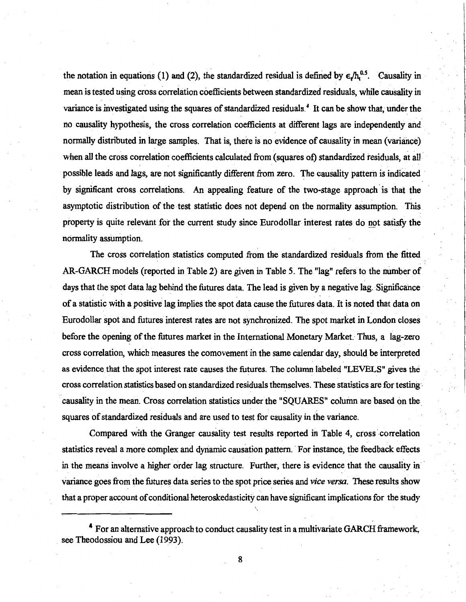the notation in equations (1) and (2), the standardized residual is defined by  $\epsilon / h_t^{0.5}$ . Causality in mean is tested using cross correlation coefficients between standardized residuals, while causality in variance is investigated using the squares of standardized residuals.<sup>4</sup> It can be show that, under the no causality hypothesis, the cross correlation coefficients at different lags are independently and normally distributed in large samples. That is, there is no evidence of causality in mean (variance) when all the cross correlation coefficients calculated from (squares of) standardized residuals, at all possible leads and lags, are not significantly different from zero. The causality pattern is indicated by significant cross correlations. An appealing feature of the two-stage approach is that the asymptotic distribution of the test statistic does not depend on the normality assumption. This property is quite relevant for the current study since Eurodollar interest rates do not satisfy the normality assumption.

The cross correlation statistics computed from the standardized residuals from the fitted \_ AR-GARCH models (reported in Table 2) are given in Table 5. The "lag" refers to the number of days that the spot data lag behind the futures data. The lead is given by a negative lag. Significance of a statistic with a positive lag implies the spot data cause the futures data. It is noted that data on Eurodollar spot and futures interest rates are not synchronized. The spot market in London closes before the opening of the futures market in the International Monetary Market. Thus, a lag-zero cross correlation, which measures the comovement in the same calendar day, should be interpreted as evidence that the spot interest rate causes the futures. The column labeled "LEVELS" gives the cross correlation statistics based on standardized residuals themselves. These statistics are for testing causality in the mean. Cross correlation statistics under the "SQUARES" column are based on the\_ squares of standardized residuals and are used to test for causality in the variance.

Compared with the Granger causality test results reported in Table 4, cross correlation statistics reveal a more complex and dynamic causation pattern. For instance, the feedback effects in the means involve a higher order lag structure. Further, there is evidence that the causality in variance goes from the futures data series to the spot price series and *vice versa.* These results show that a proper account of conditional heteroskedasticity can have significant implications for the study

<sup>•</sup> For an alternative approach to conduct causality test in a multivariate GARCH framework, see Theodossiou and Lee (1993).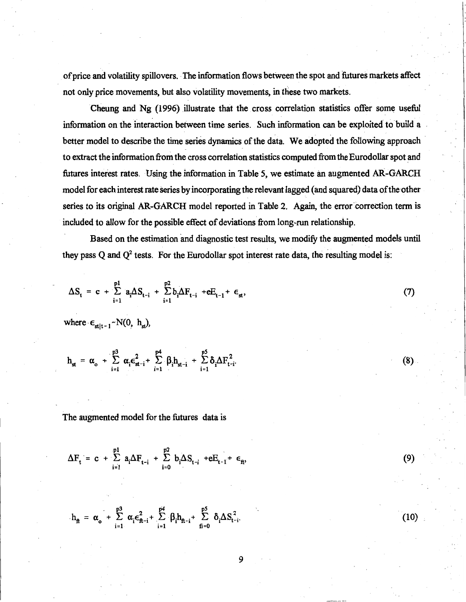of price and volatility spillovers. The information flows between the spot and futures markets affect not only price movements, but also volatility movements, in these two markets.

Cheung and Ng (1996) illustrate that the cross correlation statistics offer some useful information on the interaction between time series. Such information can be exploited to build a better model to describe the time series dynamics of the data. We adopted the following approach to extract the information from the cross correlation statistics computed from the Eurodollar spot and futures interest rates. Using the information in Table 5, we estimate an augmented AR-GARCH model for each interest rate series by incorporating the relevant lagged ( and squared) data of the other series to its original AR-GARCH model reported in Table 2. Again, the error correction term is included to allow for the possible effect of deviations from long-run relationship.

Based on the estimation and diagnostic test results, we modify the augmented models until they pass Q and  $Q^2$  tests. For the Eurodollar spot interest rate data, the resulting model is:

(8)

(9)

(10)

$$
\Delta S_{t} = c + \sum_{i=1}^{p1} a_{i} \Delta S_{t-i} + \sum_{i=1}^{p2} b_{i} \Delta F_{t-i} + eE_{t-1} + \epsilon_{st}, \qquad (7)
$$

where  $\epsilon_{\text{st}|t-1}$  ~ N(0, h<sub>st</sub>),

$$
h_{st} = \alpha_o + \sum_{i=1}^{p3} \alpha_i \varepsilon_{st-i}^2 + \sum_{i=1}^{p4} \beta_i h_{st-i} + \sum_{i=1}^{p5} \delta_i \Delta F_{t-i}^2
$$

The augmented model for the futures data is

$$
\Delta F_t = c + \sum_{i=1}^{p1} a_i \Delta F_{t-i} + \sum_{i=0}^{p2} b_i \Delta S_{t-i} + eE_{t-1} + \epsilon_n,
$$

$$
h_{ft}~=~\alpha_{o}~+~\sum_{i=1}^{p3}~\alpha_{i}\varepsilon_{ft-i}^{2}+~\sum_{i=1}^{p4}~\beta_{i}h_{ft-i}+~\sum_{fi=0}^{p5}~\delta_{i}\Delta S_{t-i}^{2}.
$$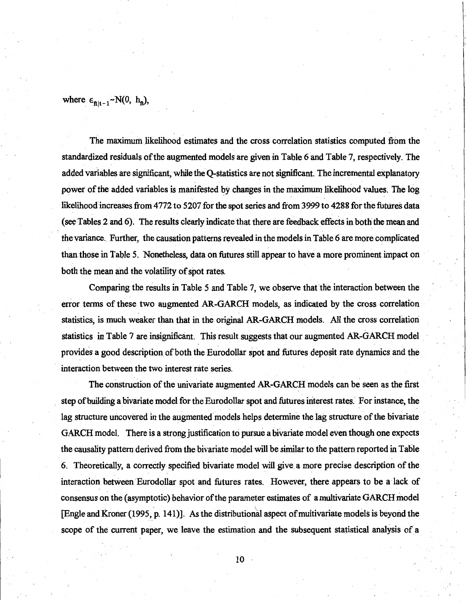where  $\epsilon_{\text{filt-1}}$  - N(0, h<sub>ft</sub>),

The maximum likelihood estimates and the cross correlation statistics computed from the standardized residuals of the augmented models are given in Table 6 and Table 7, respectively. The added variables are significant, while the Q-statistics are not significant. The incremental explanatory power of the added variables is manifested by changes in the maximum likelihood values. The log likelihood increases from 4772 to 5207 for the spot series and from 3999 to 4288 for the futures data (see Tables 2 and 6). The results clearly indicate that there are feedback effects in both the mean and the variance. Further, the causation patterns revealed in the models in Table 6 are more complicated than those in Table 5. Nonetheless, data on futures still appear to have a more prominent impact on both the mean and the volatility of spot rates.

Comparing the results in Table 5 and Table 7, we observe that the interaction between the error terms of these two augmented AR-GAR.CH models, as indicated by the cross correlation statistics, is much weaker than that in the original AR-GARCH models. All the cross correlation statistics in Table 7 are insignificant. This result suggests that our augmented AR-GARCH model provides a good description of both the Eurodollar spot and futures deposit rate dynamics and the interaction between the two interest rate series.

The construction of the univariate augmented AR-GARCH models can be seen as the first step of building a bivariate model for the Eurodollar spot and futures interest rates. For instance, the lag structure uncovered in the augmented models helps determine the lag structure of the bivariate GARCH model. There is a strong justification to pursue a bivariate model even though one expects the causality pattern derived from the bivariate model will be similar to the pattern reported in Table 6. Theoretically, a correctly specified bivariate model will give a more precise description of the interaction between Eurodollar spot and futures rates. However, there appears to be a lack of consensus on the (asymptotic) behavior of the parameter estimates of a multivariate GARCH model [Engle and Kroner (1995, p. 141)]. As the distributional aspect of multivariate models is beyond the scope of the current paper, we leave the estimation and the subsequent statistical analysis *of* a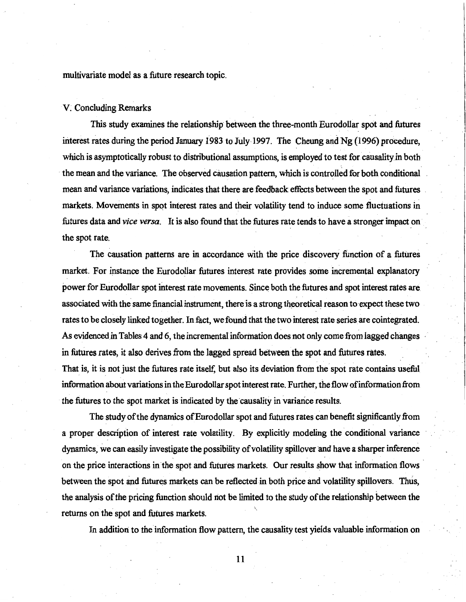multivariate model as a future research topic.

#### V; Concluding Remarks

This study examines the relationship between the three-month Eurodollar spot and futures interest rates during the period January 1983 to July 1997. The Cheung and Ng (1996) procedure, which is asymptotically robust to distributional assumptions, is employed to test for causality in both the mean and the variance. The observed causation pattern, which is controlled for both conditional mean and variance variations, indicates that there are feedback effects between the spot and futures markets. Movements in spot interest rates and their volatility tend to induce some fluctuations in futures data and *vice versa.* It is also found that the futures rate tends to have a stronger impact on the spot rate.

The causation patterns are in accordance with the price discovery function of a futures market. For instance the Eurodollar futures interest rate provides some incremental explanatory power for Eurodollar spot interest rate movements. Since both the futures and spot interest rates are associated with the same financial instrument, there is a strong theoretical reason to expect these two rates to be closely linked together. In fact, we found that the two interest rate series are cointegrated. As evidenced in Tables 4 and 6, the incremental information does not only come from lagged changes in futures rates, it also derives from the lagged spread between the spot and futures rates. That is, it is not just the futures rate itself, but also its deviation from the spot rate contains useful information about variations in the Eurodollar spot interest rate. Further, the flow of information from the futures to the spot market is indicated by the causality in variance results.

The study of the dynamics of Eurodollar spot and futures rates can benefit significantly from a proper description of interest rate volatility. By explicitly modeling the conditional variance dynamics, we can easily investigate the possibility of volatility spillover and have a sharper inference on the price interactions in the spot and futures markets. Our results show that information flows · between the spot and futures markets can be reflected in both price and volatility spillovers. Thus, the analysis of the pricing function should riot be limited to the study of the relationship between the returns on the spot and futures markets.

In addition to the information flow pattern, the causality test yields valuable information on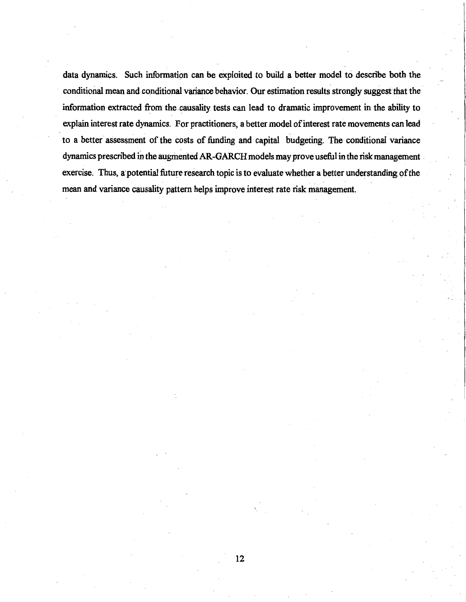data dynamics. Such information can be exploited to build a better model to describe both the conditional mean and conditional variance behavior. Our estimation results strongly suggest that the information-extracted from the causality tests can lead to dramatic improvement in the ability to explain interest rate dynamics. For practitioners, a better model of interest rate movements can lead to a better assessment of the costs of funding and capital budgeting. The conditional variance dynamics prescribed in the augmented AR-GARCH models may prove useful in the risk management exercise. Thus, a potential future research topic is to evaluate whether a better understanding of the mean and variance causality pattern helps improve interest rate risk management.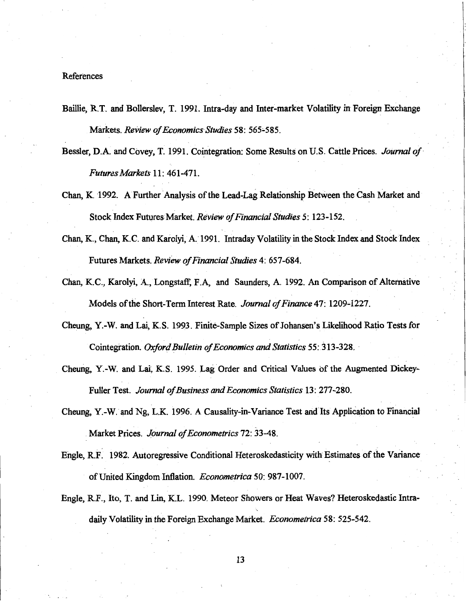#### **References**

- Baillie, RT. and Bollerslev, T. 1991. Intra-day and Inter-market Volatility in Foreign Exchange Markets. *Review of Economics Studies* 58: 565-585.
- Bessler, D.A and Covey, T. 1991. Cointegration: Some Results on U.S. Cattle Prices. *Journal of Futures Markets* 11: 461-471.
- Chan, K. 1992. A Further Analysis of the Lead-Lag Relationship Between the Cash Market and Stock Index Futures Market. *Review of Financial Studies* 5: 123-152.
- Chan, K., Chan, K.C. and Karolyi, A. 1991. Intraday Volatility in the Stock Index and Stock Index Futures Markets. *Review of Financial Studies* 4: 657-684.
- Chan, K.C., Karolyi, A., Longstaff, F.A, and Saunders, A 1992. An Comparison of Alternative Models of the Short-Term Interest Rate. *Journal of Finance* 47: 1209-1227.
- Cheung, Y.-W. and Lai, K.S. 1993. Finite-Sample Sizes of Johansen's Likelihood Ratio Tests for Cointegration. *Oxford Bulletin of Economics and Statistics* 55: 313-328. ·
- Cheung, Y.-W. and Lai~ K.S. 1995. Lag Order and Critical Values of the Augmented Dickey-Fuller Test. *Journal of Business and Economics Statistics* 13: 277-280.
- Cheung, Y.-W. and Ng, L.K. 1996. A Causality-in-Variance Test and Its Application to Financial Market Prices. *Journal of Econometrics* 72: 33-48.
- Engle, RF. 1982. Autoregressive Conditional Heteroskedasticity with Estimates of the Variance of United Kingdom Inflation. *Econometrica* 50: 987-1007.
- Engle, R.F., Ito, T. and Lin, K.L. 1990. Meteor Showers or Heat Waves? Heteroskedastic Intradaily Volatility in the Foreign Exchange Market. *Econometrica* 58: 525-542.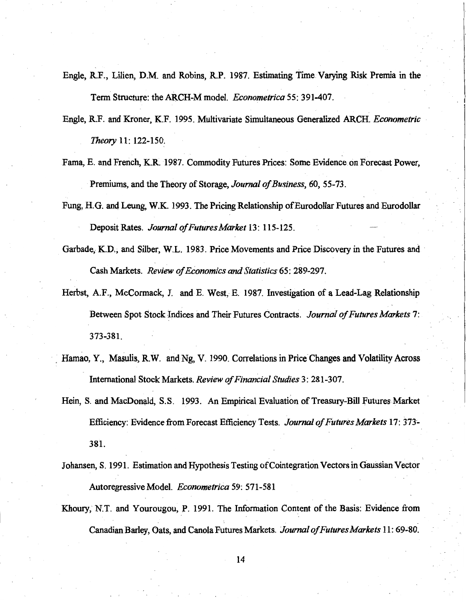- Engle, RF., Lilien, D.M. and Robins, R.P. 1987. Estimating Time Varying Risk Premia in the Term Structure: the ARCH-M model. *Econometrica* 55: 391-407.
- Engle, RF. and Kroner, K.F. 1995. Multivariate Simultaneous Generalized ARCH. *Econometric Theory* 11: 122-150.
- Fama, E. and French, K.R ·1987. Commodity Futures Prices: Some Evidence on Forecast Power, Premiums, and the Theory of Storage, *Journal of Business,* 60, 55-73.
- Fung, H.G. and Leung, W.K. 1993. The Pricing Relationship of Eurodollar Futures and Eurodollar Deposit Rates. *Journal of Futures Market* 13: 115-125.
- Garbade, K.D., and Silber, W.L. 1983. Price Movements and Price Discovery in the Futures and Cash Markets. *Review of Economics and Statistics* 65: 289-297.
- Herbst, A.F., McCormack, J. and E. West, E. 1987. Investigation of a Lead-Lag Relationship Between Spot Stock Indices and Their Futures Contracts. *Journal of Futures Markets* 7: 373-381.
- . Hamao, Y., Masulis, R.W. and Ng, V. 1990. Correlations in Price Changes and Volatility Across International Stock Markets. *Review of Financial Studies* 3: 281-307.
- Hein, S. and MacDonald, S.S. 1993. An Empirical Evaluation of Treasury-Bill Futures Market Efficiency: Evidence from Forecast Efficiency Tests. *Journal of Futures Markets* 17: 373'- 381.
- Johansen, S. 1991. Estimation and Hypothesis Testing ofCointegration Vectors in Gaussian Vector Autoregressive Model. *Econometrica* 59: 571-581
- Khoury, N.T. and Yourougou, P. 1991. The Information Content of the Basis: Evidence from Canadian Barley, Oats, and Canola Futures Markets. *Journal of Futures Markets* 11: 69-80.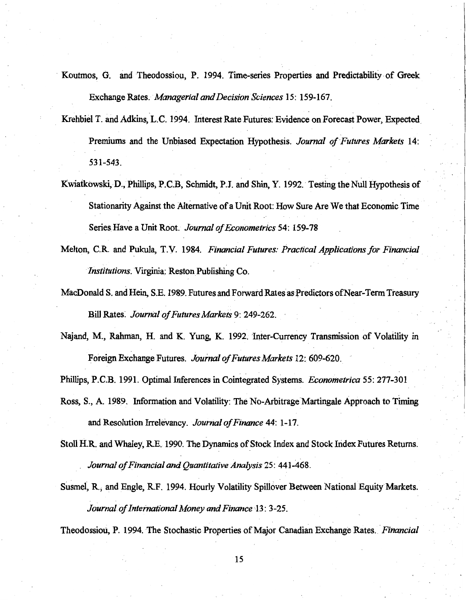- Koutmos, G. and Theodossiou, P. 1994. Time-series Properties and Predictability of Greek Exchange Rates. · *Managerial* and *Decision Sciences* 15: 159-167.
- Krehbiel T. and Adkins, L.C. 1994. Interest Rate Futures: Evidence on Forecast Power, Expected Premiums and the Unbiased Expectation Hypothesis. *Journal of Futures Markets* 14: 531-543.
- Kwiatkowski, D., Phillips, P.C.B, Schmidt, P.J. and Shin, Y. 1992. Testing the Null Hypothesis of Stationarity Against the Alternative of a Unit Root: How Sure Are We that Economic Time Series Have a Unit Root. *Journal of Econometrics* 54: 159-78
- Melton, C.R. and Pukula, T.V. 1984. *Financial Futures: Practical Applications for Financial Institutions.* Virginia: Reston Publishing Co.
- MacDonald S. and Hein, S.E. 1989. Futures and Forward Rates as Predictors of Near-Term Treasury Bill Rates: *Journal of Futures Markets* 9: 249-262.
- Najand, M., Rahman, H. and K. Yung, K. 1992. Inter-Currency Transmission of Volatility in Foreign Exchange Futures. *Journal of Futures Markets* 12: 609-620.

Phillips, P.C.B. 1991. Optimal Inferences in Cointegrated Systems. *Econometrica* 55: 277-301

- Ross, S., A 1989. Information and Volatility: The No-Arbitrage Martingale Approach to Timing and Resolution Irrelevancy. *Journal of Finance* 44: 1-17.
- Stoll H.R. and Whaley, RE. 1990. The Dynamics of Stock Index and Stock Iridex Futures Returns. *Journal of Financial and Quantitative Analysis* 25: 441-468.
- Susmel, R., and Engle, R.F. 1994. Hourly Volatility Spillover Between National Equity Markets. *Journal of International Money* and *Finance* 13: 3-25.

Theodossiou, P. 1994. The Stochastic Properties of Major Canadian Exchange Rates. *Financial*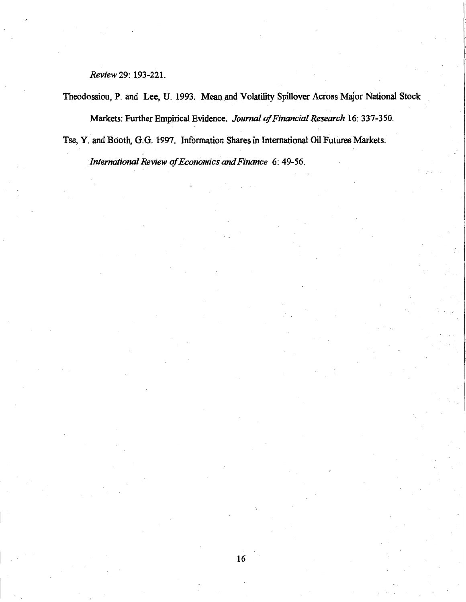*Review* 29: 193-221.

Theodossiou, P. and Lee, U. 1993. Mean and Volatility Spillover Across Major National Stock Markets: Further Empirical Evidence. *Journal of Financial Research* 16: 337-350.

Tse, Y. and Booth, G.G. 1997. Information Shares in International Oil Futures Markets.

*International Review of Economics and Finance* 6: 49-56.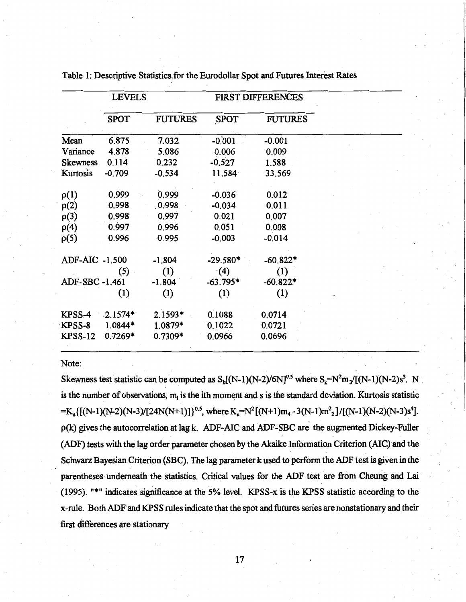|                 | <b>LEVELS</b> |                |             | <b>FIRST DIFFERENCES</b> |  |  |
|-----------------|---------------|----------------|-------------|--------------------------|--|--|
|                 | <b>SPOT</b>   | <b>FUTURES</b> | <b>SPOT</b> | <b>FUTURES</b>           |  |  |
| Mean            | 6.875         | 7.032          | $-0.001$    | $-0.001$                 |  |  |
| Variance        | 4.878         | 5.086          | 0.006       | 0.009                    |  |  |
| <b>Skewness</b> | 0.114         | 0.232          | $-0.527$    | 1.588                    |  |  |
| Kurtosis        | $-0.709$      | $-0.534$       | 11.584      | 33.569                   |  |  |
| $\rho(1)$       | 0.999         | 0.999          | $-0.036$    | 0.012                    |  |  |
| $\rho(2)$       | 0.998         | 0.998          | $-0.034$    | 0.011                    |  |  |
| $\rho(3)$       | 0.998         | 0.997          | 0.021       | 0.007                    |  |  |
| $\rho(4)$       | 0.997         | 0.996          | 0.051       | 0.008                    |  |  |
| $\rho(5)$       | 0.996         | 0.995.         | $-0.003$    | $-0.014$                 |  |  |
| ADF-AIC -1.500  |               | $-1.804$       | $-29.580*$  | $-60.822*$               |  |  |
|                 | (5)           | (1)            | (4)         | (1)                      |  |  |
| ADF-SBC-1.461   |               | $-1.804$       | $-63.795*$  | $-60.822*$               |  |  |
|                 | (1)           | (1)            | (1)         | (1)                      |  |  |
| KPSS-4          | $-2.1574*$    | $2.1593*$      | 0.1088      | 0.0714                   |  |  |
| KPSS-8          | 1.0844*       | 1.0879*        | 0.1022      | 0.0721                   |  |  |
| <b>KPSS-12</b>  | $0.7269*$     | $0.7309*$      | 0.0966      | 0.0696                   |  |  |
|                 |               |                |             |                          |  |  |

Table 1: Descriptive Statistics for the Eurodollar Spot and Futures Interest Rates

·Note:

Skewness test statistic can be computed as  $S_k[(N-1)(N-2)/6N]^{0.5}$  where  $S_k=N^2m_s/[(N-1)(N-2)s^3$ . N is the number of observations,  $m_i$  is the ith moment and s is the standard deviation. Kurtosis statistic  $=K_u\{[(N-1)(N-2)(N-3)/[24N(N+1)]\}^{0.5}$ , where  $K_u=N^2[(N+1)m_4-3(N-1)m^2/[(N-1)(N-2)(N-3)s^4]$ . p(k) gives the autocorrelation at lag k. ADF-AIC and ADF-SBC are the augmented Dickey-Fuller (ADF) tests with the lag order parameter chosen by the Akaike Information Criterion (AIC}and the Schwarz Bayesian Criterion (SBC). The lag parameter k used to perform the ADF test is given in the parentheses underneath the statistics. Critical values for the ADF test are from Cheung and Lai (1995). "\*" indicates significance at the 5% level. KPSS-x is the KPSS statistic according to the x-rule. Both ADFand KPSS rules indicate that the spot and futures series are nonstationary and their first differences are stationary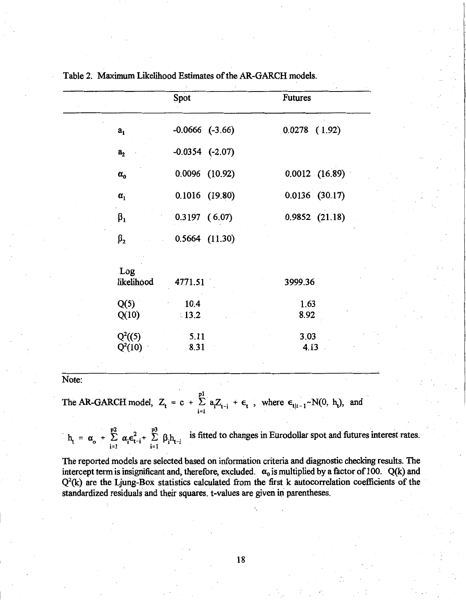|       |                                 | Spot                                   | <b>Futures</b>                                                                              |
|-------|---------------------------------|----------------------------------------|---------------------------------------------------------------------------------------------|
|       | a <sub>1</sub>                  | $-0.0666$ $(-3.66)$                    | $0.0278$ $(1.92)$                                                                           |
|       | a <sub>2</sub>                  | $-0.0354$ $(-2.07)$                    |                                                                                             |
|       | $\alpha_{\rm o}$                | $0.0096$ $(10.92)$                     | 0.0012 (16.89)                                                                              |
|       | $\pmb{\alpha}_1$                | $0.1016$ (19.80)                       | $0.0136$ (30.17)                                                                            |
|       | $\beta_1$                       | $0.3197$ (6.07)                        | 0.9852(21.18)                                                                               |
|       | $\beta_{2}$                     | $0.5664$ $(11.30)$                     |                                                                                             |
|       | Log<br>likelihood               | 4771.51                                | 3999.36                                                                                     |
|       | Q(5)                            | 10.4                                   | 1.63                                                                                        |
|       | Q(10)                           | $\stackrel{<}{\scriptstyle \sim} 13.2$ | 8.92                                                                                        |
|       | $Q^2((5)$<br>$Q^2(10)$          | 5.11<br>8.31                           | 3.03<br>4.13                                                                                |
| Note: |                                 |                                        |                                                                                             |
|       | The AR-GARCH model, $Z_t = c +$ | $i=1$                                  | $\sum_{i=1}^{p_1} a_i Z_{t-i} + \epsilon_t$ , where $\epsilon_{t t-1} \sim N(0, h_t)$ , and |

Table 2. Maximum Likelihood Estimates of the AR-GARCH models.

 $h_t = \alpha_o + \sum_{i=1}^{p^2} \alpha_i \epsilon_{t-i}^2 + \sum_{i=1}^{p^3} \beta_i h_{t-i}$  is fitted to changes in Eurodollar spot and futures interest rates.

The reported models are selected based on information criteria and diagnostic checking results. The intercept term is insignificant and, therefore, excluded.  $\alpha_0$  is multiplied by a factor of 100. Q(k) and  $Q<sup>2</sup>(k)$  are the Ljung-Box statistics calculated from the first k autocorrelation coefficients of the standardized residuals and their squares. t-values are given in parentheses.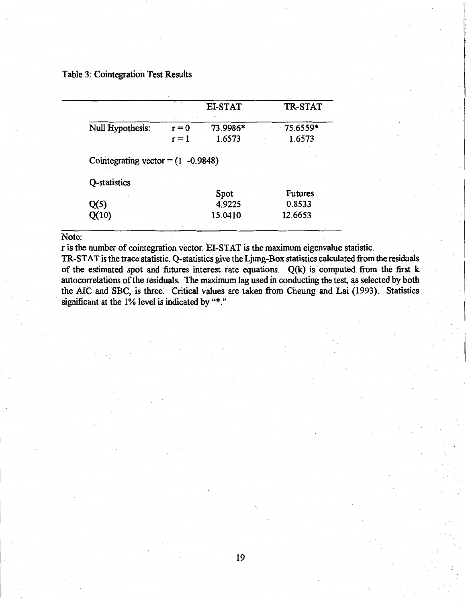# Table 3: Cointegration Test Results

|                                      |         | EI-STAT        | <b>TR-STAT</b> |
|--------------------------------------|---------|----------------|----------------|
| Null Hypothesis:                     | $r = 0$ | 73.9986*       | 75.6559*       |
|                                      | $r = 1$ | 1.6573         | 1.6573         |
| Cointegrating vector = $(1 -0.9848)$ |         |                |                |
|                                      |         |                |                |
| Q-statistics                         |         |                | <b>Futures</b> |
| Q(5)                                 |         | Spot<br>4.9225 | 0.8533         |

Note:

r is the number of cointegration vector. EI-STAT is the maximum eigenvalue statistic.

TR-STAT is the trace statistic. Q-statistics give the Ljung-Box statistics calculated from the residuals of the estimated spot and futures interest rate equations.  $Q(k)$  is computed from the first  $k$ autocorrelations of the residuals. The maximum lag used in conducting the test, as selected by both the AIC and SBC, is three. Critical values are taken from Cheung and Lai (1993). Statistics significant at the 1% level is indicated by "\*."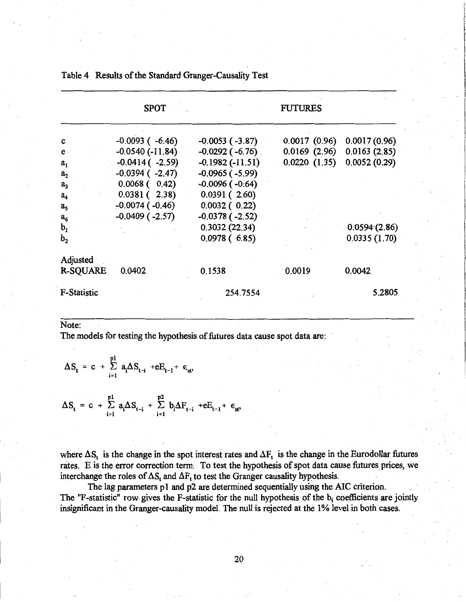|                    | <b>SPOT</b>           |                        | <b>FUTURES</b> |              |
|--------------------|-----------------------|------------------------|----------------|--------------|
|                    |                       | $-0.0053$ ( $-3.87$ )  | 0.0017(0.96)   | 0.0017(0.96) |
| c                  | $-0.0093$ ( $-6.46$ ) |                        | 0.0169(2.96)   | 0.0163(2.85) |
| $e$ .              | $-0.0540(-11.84)$     | $-0.0292$ ( $-6.76$ ). |                |              |
| a <sub>1</sub>     | $-0.0414$ ( $-2.59$ ) | $-0.1982(-11.51)$      | 0.0220(1.35)   | 0.0052(0.29) |
| a <sub>2</sub>     | $-0.0394$ ( $-2.47$ ) | $-0.0965$ ( $-5.99$ )  |                |              |
| a <sub>3</sub>     | $0.0068$ ( $0.42$ )   | $-0.0096$ ( $-0.64$ )  |                |              |
| a <sub>4</sub>     | $0.0381(-2.38)$       | 0.0391(2.60)           |                |              |
| a <sub>5</sub>     | $-0.0074$ ( $-0.46$ ) | 0.0032(0.22)           |                |              |
| $a_6$              | $-0.0409$ ( $-2.57$ ) | $-0.0378(-2.52)$       |                |              |
| $b1$               |                       | 0.3032(22.34)          |                | 0.0594(2.86) |
| $\mathbf{b}_2$     |                       | 0.0978(6.85)           |                | 0.0335(1.70) |
| Adjusted           |                       |                        |                |              |
| <b>R-SQUARE</b>    | 0.0402                | 0.1538                 | 0.0019         | 0.0042       |
| <b>F-Statistic</b> |                       | 254.7554               |                | 5.2805       |

Table 4 Results-of the Standard Granger-Causality Test

Note:

The models for testing the hypothesis of futures data cause spot data are:

$$
\Delta S_{t} = c + \sum_{i=1}^{p1} a_{i} \Delta S_{t-i} + eE_{t-1} + \epsilon_{st},
$$
  

$$
\Delta S_{t} = c + \sum_{i=1}^{p1} a_{i} \Delta S_{t-i} + \sum_{i=1}^{p2} b_{i} \Delta F_{t-i} + eE_{t-1} + \epsilon_{st},
$$

where  $\Delta S_t$  is the change in the spot interest rates and  $\Delta F_t$  is the change in the Eurodollar futures rates. E is the error correction term. To test the hypothesis of spot data cause futures prices, we interchange the roles of  $\Delta S_t$  and  $\Delta F_t$  to test the Granger causality hypothesis.

The lag parameters p1 and p2 are determined sequentially using the AIC criterion. The "F-statistic" row gives the F-statistic for the null hypothesis of the  $b_i$  coefficients are jointly insignificant in the Granger-causality model. The null is rejected at the 1% level in both cases.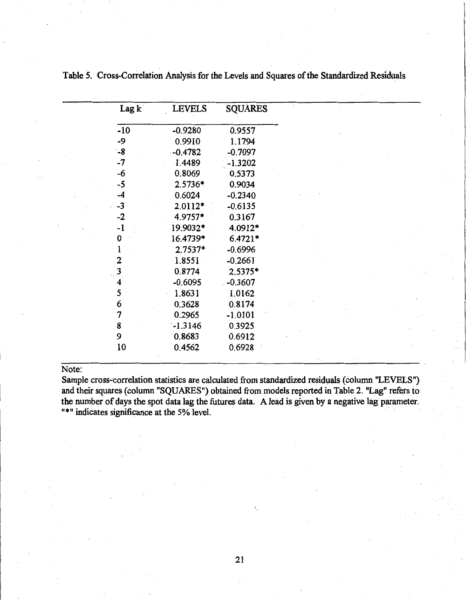| Lag k | <b>LEVELS</b> | <b>SQUARES</b> |  |  |
|-------|---------------|----------------|--|--|
| $-10$ | $-0.9280$     | 0.9557         |  |  |
| $-9$  | 0.9910        | 1.1794         |  |  |
| $-8$  | $-0.4782$     | $-0.7097$      |  |  |
| $-7$  | 1.4489        | $-1.3202$      |  |  |
| -6    | 0.8069        | 0.5373         |  |  |
| $-5$  | 2.5736*       | 0.9034         |  |  |
| -4    | 0.6024        | $-0.2340$      |  |  |
| $-3$  | $2.0112*$     | $-0.6135$      |  |  |
| $-2$  | 4.9757*       | 0.3167         |  |  |
| $-1$  | 19.9032*      | 4.0912*        |  |  |
| 0     | 16.4739*      | $6.4721*$      |  |  |
| 1     | $2.7537*$     | $-0.6996$      |  |  |
| 2     | 1.8551        | $-0.2661$      |  |  |
| 3     | 0.8774        | 2.5375*        |  |  |
| 4     | $-0.6095$     | $-0.3607$      |  |  |
| 5     | 1.8631        | 1.0162         |  |  |
| 6     | 0.3628        | 0.8174         |  |  |
| 7     | 0.2965        | $-1.0101$      |  |  |
| 8     | $-1.3146$     | 0.3925         |  |  |
| 9     | 0.8683        | 0.6912         |  |  |
| 10    | 0.4562        | 0.6928         |  |  |
|       |               |                |  |  |

Table 5. Cross-Correlation Analysis for the Levels and Squares of the Standardized Residuals

# Note:

Sample cross-correlation statistics are calculated from standardized residuals (column "LEVELS") and their squares (column "SQUARES") obtained from models reported in Table 2. "Lag" refers to the number of days the spot data lag the futures data. A lead is given by a negative lag parameter. "\*" indicates significance at the 5% level.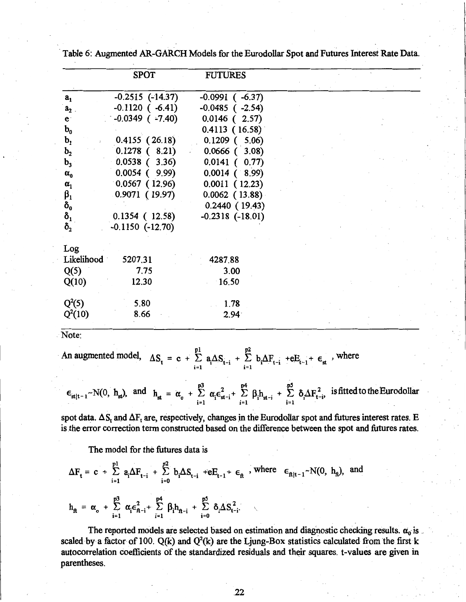|                  | <b>SPOT</b>           | <b>FUTURES</b>        |  |
|------------------|-----------------------|-----------------------|--|
| a <sub>1</sub>   | $-0.2515$ $(-14.37)$  | $-0.0991$ ( $-6.37$ ) |  |
| a <sub>2</sub>   | $-0.1120$ ( $-6.41$ ) | $-0.0485$ ( $-2.54$ ) |  |
| e <sub>1</sub>   | $-0.0349$ ( $-7.40$ ) | $0.0146$ ( 2.57)      |  |
| $\mathbf{b_{0}}$ |                       | 0.4113(16.58)         |  |
| $\mathbf{b}_1$   | 0.4155(26.18)         | $0.1209$ ( 5.06)      |  |
| $b_{2}$          | $0.1278$ (8.21)       | $0.0666$ $(3.08)$     |  |
| $b_3$            | $0.0538$ ( 3.36)      | 0.0141(0.77)          |  |
| $\alpha_{0}$     | $0.0054$ (9.99)       | $0.0014$ (8.99)       |  |
| $\alpha_1$       | 0.0567(12.96)         | 0.0011(12.23)         |  |
| $\beta_1$        | 0.9071(19.97)         | $0.0062$ (13.88)      |  |
| $\delta_{\rm o}$ |                       | 0.2440(19.43)         |  |
| $\delta_{1}$     | 0.1354(12.58)         | $-0.2318$ $(-18.01)$  |  |
| $\delta_{2}$     | $-0.1150$ $(-12.70)$  |                       |  |
|                  |                       |                       |  |
| Log              |                       |                       |  |
| Likelihood       | 5207.31               | 4287.88               |  |
| Q(5)             | 7.75                  | 3.00                  |  |
| Q(10)            | 12.30                 | 16.50                 |  |
| $Q^2(5)$         | 5.80                  | 1.78                  |  |
| $Q^2(10)$        | 8.66                  | 2.94                  |  |
|                  |                       |                       |  |

Table 6: Augmented AR-GARCH Models for the Eurodollar Spot and Futures Interest Rate Data.

Note:

An augmented model,  $\Delta S_t = c + \sum_{i=1}^{p_1} a_i \Delta S_{t-i} + \sum_{i=1}^{p_2} b_i \Delta F_{t-i} + \epsilon E_{t-1} + \epsilon_{st}$ , where

p3 **p4 p5** . .  $\epsilon_{st|t-1} \sim N(0, h_{st})$ , and  $h_{st} = \alpha_0 + \sum_{i=1}^{L} \alpha_i \epsilon_{st-i}^2 + \sum_{i=1}^{L} \beta_i h_{st-i} + \sum_{i=1}^{L} \delta_i \Delta F_{t-i}^2$  is fitted to the Eurodollar

spot data.  $\Delta S_t$  and  $\Delta F_t$  are, respectively, changes in the Eurodollar spot and futures interest rates. E is the error correction term constructed based on the difference between the spot and futures rates.

The model for the futures data is

$$
\Delta F_{t} = c + \sum_{i=1}^{p1} a_{i} \Delta F_{t-i} + \sum_{i=0}^{p2} b_{i} \Delta S_{t-i} + eE_{t-1} + \epsilon_{\hat{\mathbf{n}}} \text{ , where } \epsilon_{\hat{\mathbf{n}}|t-1} \sim N(0, h_{\hat{\mathbf{n}}}) \text{, and}
$$
  

$$
h_{\hat{\mathbf{n}}} = \alpha_{0} + \sum_{i=1}^{p3} \alpha_{i} \epsilon_{\hat{\mathbf{n}}-i}^{2} + \sum_{i=1}^{p4} \beta_{i} h_{\hat{\mathbf{n}}-i} + \sum_{i=0}^{p5} \delta_{i} \Delta S_{t-i}^{2}.
$$

The reported models are selected based on estimation and diagnostic checking results.  $\alpha_0$  is scaled by a factor of 100.  $Q(k)$  and  $Q^2(k)$  are the Ljung-Box statistics calculated from the first k autocorrelation coefficients of the standardized residuals and their squares. t-values are given in parentheses.